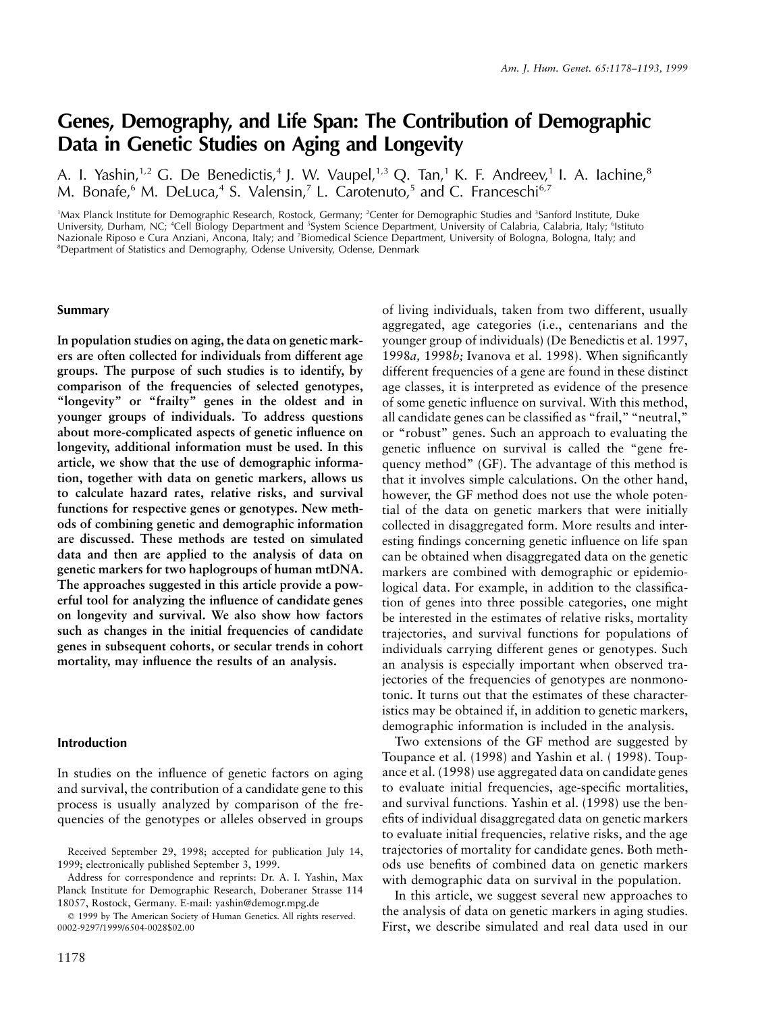# **Genes, Demography, and Life Span: The Contribution of Demographic Data in Genetic Studies on Aging and Longevity**

A. I. Yashin,<sup>1,2</sup> G. De Benedictis,<sup>4</sup> J. W. Vaupel,<sup>1,3</sup> Q. Tan,<sup>1</sup> K. F. Andreev,<sup>1</sup> I. A. lachine,<sup>8</sup> M. Bonafe,  $6$  M. DeLuca,  $4$  S. Valensin,  $7$  L. Carotenuto,  $5$  and C. Franceschi<sup>6, 7</sup>

<sup>1</sup>Max Planck Institute for Demographic Research, Rostock, Germany; <sup>2</sup>Center for Demographic Studies and <sup>3</sup>Sanford Institute, Duke University, Durham, NC; <sup>4</sup>Cell Biology Department and <sup>5</sup>System Science Department, University of Calabria, Calabria, Italy; <sup>6</sup>lstituto Nazionale Riposo e Cura Anziani, Ancona, Italy; and <sup>7</sup>Biomedical Science Department, University of Bologna, Bologna, Italy; and <sup>8</sup>Department of Statistics and Demography, Odense University, Odense, Denmark

#### **Summary**

**In population studies on aging, the data on genetic markers are often collected for individuals from different age groups. The purpose of such studies is to identify, by comparison of the frequencies of selected genotypes, "longevity" or "frailty" genes in the oldest and in younger groups of individuals. To address questions about more-complicated aspects of genetic influence on longevity, additional information must be used. In this article, we show that the use of demographic information, together with data on genetic markers, allows us to calculate hazard rates, relative risks, and survival functions for respective genes or genotypes. New methods of combining genetic and demographic information are discussed. These methods are tested on simulated data and then are applied to the analysis of data on genetic markers for two haplogroups of human mtDNA. The approaches suggested in this article provide a powerful tool for analyzing the influence of candidate genes on longevity and survival. We also show how factors such as changes in the initial frequencies of candidate genes in subsequent cohorts, or secular trends in cohort mortality, may influence the results of an analysis.**

#### **Introduction**

In studies on the influence of genetic factors on aging and survival, the contribution of a candidate gene to this process is usually analyzed by comparison of the frequencies of the genotypes or alleles observed in groups

Address for correspondence and reprints: Dr. A. I. Yashin, Max Planck Institute for Demographic Research, Doberaner Strasse 114 18057, Rostock, Germany. E-mail: yashin@demogr.mpg.de

 $© 1999$  by The American Society of Human Genetics. All rights reserved. 0002-9297/1999/6504-0028\$02.00

of living individuals, taken from two different, usually aggregated, age categories (i.e., centenarians and the younger group of individuals) (De Benedictis et al. 1997, 1998*a,* 1998*b;* Ivanova et al. 1998). When significantly different frequencies of a gene are found in these distinct age classes, it is interpreted as evidence of the presence of some genetic influence on survival. With this method, all candidate genes can be classified as "frail," "neutral," or "robust" genes. Such an approach to evaluating the genetic influence on survival is called the "gene frequency method" (GF). The advantage of this method is that it involves simple calculations. On the other hand, however, the GF method does not use the whole potential of the data on genetic markers that were initially collected in disaggregated form. More results and interesting findings concerning genetic influence on life span can be obtained when disaggregated data on the genetic markers are combined with demographic or epidemiological data. For example, in addition to the classification of genes into three possible categories, one might be interested in the estimates of relative risks, mortality trajectories, and survival functions for populations of individuals carrying different genes or genotypes. Such an analysis is especially important when observed trajectories of the frequencies of genotypes are nonmonotonic. It turns out that the estimates of these characteristics may be obtained if, in addition to genetic markers, demographic information is included in the analysis.

Two extensions of the GF method are suggested by Toupance et al. (1998) and Yashin et al. ( 1998). Toupance et al. (1998) use aggregated data on candidate genes to evaluate initial frequencies, age-specific mortalities, and survival functions. Yashin et al. (1998) use the benefits of individual disaggregated data on genetic markers to evaluate initial frequencies, relative risks, and the age trajectories of mortality for candidate genes. Both methods use benefits of combined data on genetic markers with demographic data on survival in the population.

In this article, we suggest several new approaches to the analysis of data on genetic markers in aging studies. First, we describe simulated and real data used in our

Received September 29, 1998; accepted for publication July 14, 1999; electronically published September 3, 1999.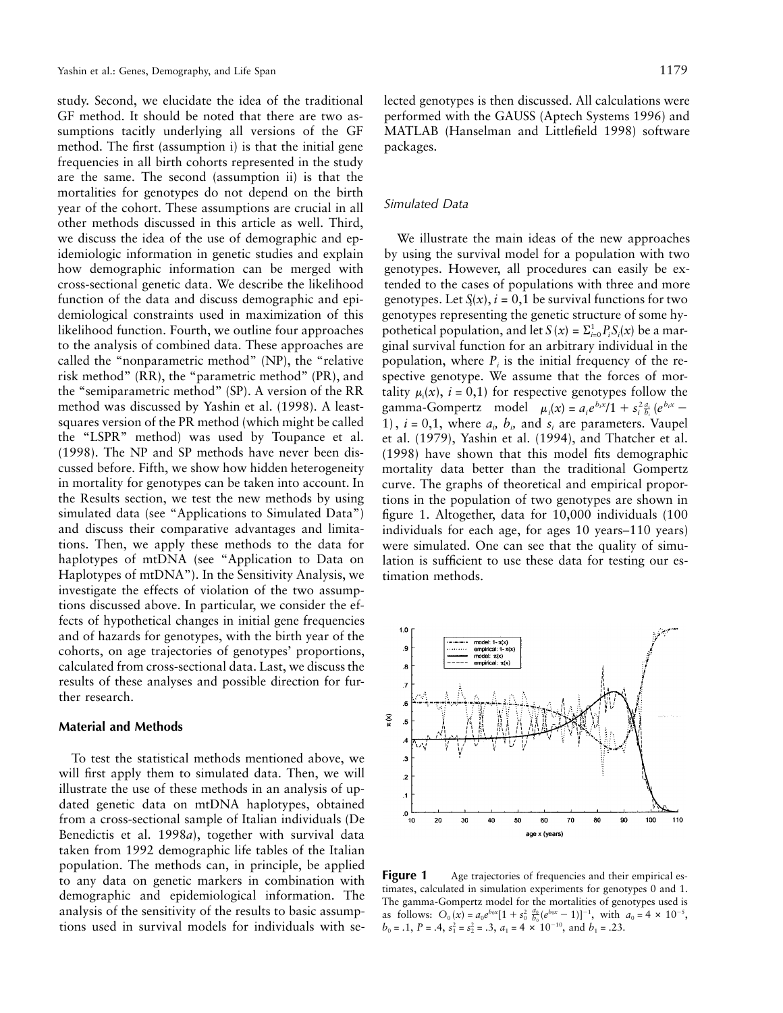study. Second, we elucidate the idea of the traditional GF method. It should be noted that there are two assumptions tacitly underlying all versions of the GF method. The first (assumption i) is that the initial gene frequencies in all birth cohorts represented in the study are the same. The second (assumption ii) is that the mortalities for genotypes do not depend on the birth year of the cohort. These assumptions are crucial in all other methods discussed in this article as well. Third, we discuss the idea of the use of demographic and epidemiologic information in genetic studies and explain how demographic information can be merged with cross-sectional genetic data. We describe the likelihood function of the data and discuss demographic and epidemiological constraints used in maximization of this likelihood function. Fourth, we outline four approaches to the analysis of combined data. These approaches are called the "nonparametric method" (NP), the "relative risk method" (RR), the "parametric method" (PR), and the "semiparametric method" (SP). A version of the RR method was discussed by Yashin et al. (1998). A leastsquares version of the PR method (which might be called the "LSPR" method) was used by Toupance et al. (1998). The NP and SP methods have never been discussed before. Fifth, we show how hidden heterogeneity in mortality for genotypes can be taken into account. In the Results section, we test the new methods by using simulated data (see "Applications to Simulated Data") and discuss their comparative advantages and limitations. Then, we apply these methods to the data for haplotypes of mtDNA (see "Application to Data on Haplotypes of mtDNA"). In the Sensitivity Analysis, we investigate the effects of violation of the two assumptions discussed above. In particular, we consider the effects of hypothetical changes in initial gene frequencies and of hazards for genotypes, with the birth year of the cohorts, on age trajectories of genotypes' proportions, calculated from cross-sectional data. Last, we discussthe results of these analyses and possible direction for further research.

## **Material and Methods**

To test the statistical methods mentioned above, we will first apply them to simulated data. Then, we will illustrate the use of these methods in an analysis of updated genetic data on mtDNA haplotypes, obtained from a cross-sectional sample of Italian individuals (De Benedictis et al. 1998*a*), together with survival data taken from 1992 demographic life tables of the Italian population. The methods can, in principle, be applied to any data on genetic markers in combination with demographic and epidemiological information. The analysis of the sensitivity of the results to basic assumptions used in survival models for individuals with selected genotypes is then discussed. All calculations were performed with the GAUSS (Aptech Systems 1996) and MATLAB (Hanselman and Littlefield 1998) software packages.

## *Simulated Data*

We illustrate the main ideas of the new approaches by using the survival model for a population with two genotypes. However, all procedures can easily be extended to the cases of populations with three and more genotypes. Let  $S(x)$ ,  $i = 0,1$  be survival functions for two genotypes representing the genetic structure of some hypothetical population, and let  $S(x) = \sum_{i=0}^{1} P_i S_i(x)$  be a marginal survival function for an arbitrary individual in the population, where  $P_i$  is the initial frequency of the respective genotype. We assume that the forces of mortality  $\mu_i(x)$ ,  $i = 0,1$ ) for respective genotypes follow the gamma-Gompertz model  $\mu_i(x) = a_i e^{b_i x} / 1 + s_i^2 \frac{a_i}{b_i} (e^{b_i x} -$ 1),  $i = 0,1$ , where  $a_i$ ,  $b_i$ , and  $s_i$  are parameters. Vaupel et al. (1979), Yashin et al. (1994), and Thatcher et al. (1998) have shown that this model fits demographic mortality data better than the traditional Gompertz curve. The graphs of theoretical and empirical proportions in the population of two genotypes are shown in figure 1. Altogether, data for 10,000 individuals (100 individuals for each age, for ages 10 years–110 years) were simulated. One can see that the quality of simulation is sufficient to use these data for testing our estimation methods.



**Figure 1** Age trajectories of frequencies and their empirical estimates, calculated in simulation experiments for genotypes 0 and 1. The gamma-Gompertz model for the mortalities of genotypes used is as follows:  $O_0(x) = a_0 e^{b_0 x} [1 + s_0^2 \frac{a_0}{b_0} (e^{b_0 x} - 1)]^{-1}$ , with  $a_0 = 4 \times 10^{-5}$ ,  $b_0 = .1, P = .4, s_1^2 = s_2^2 = .3, a_1 = 4 \times 10^{-10}, \text{ and } b_1 = .23.$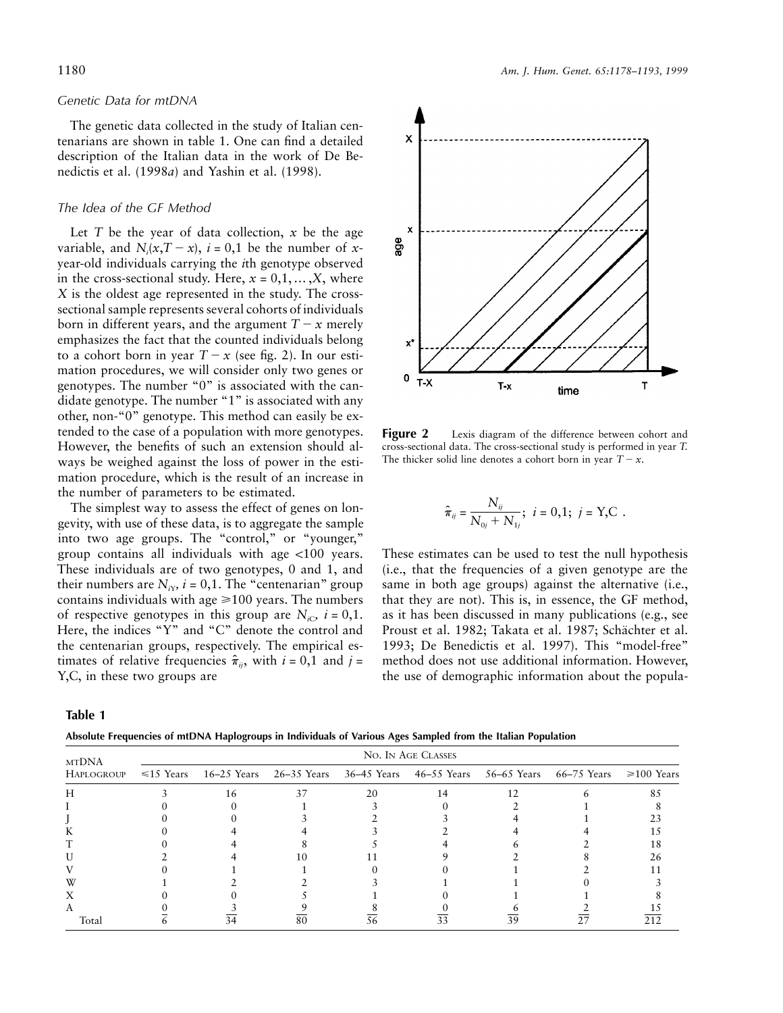## *Genetic Data for mtDNA*

The genetic data collected in the study of Italian centenarians are shown in table 1. One can find a detailed description of the Italian data in the work of De Benedictis et al. (1998*a*) and Yashin et al. (1998).

# *The Idea of the GF Method*

Let *T* be the year of data collection, *x* be the age variable, and  $N_i(x,T-x)$ ,  $i=0,1$  be the number of *x*year-old individuals carrying the *i*th genotype observed in the cross-sectional study. Here,  $x = 0, 1, \dots, X$ , where *X* is the oldest age represented in the study. The crosssectional sample represents several cohorts of individuals born in different years, and the argument  $T - x$  merely emphasizes the fact that the counted individuals belong to a cohort born in year  $T - x$  (see fig. 2). In our estimation procedures, we will consider only two genes or genotypes. The number "0" is associated with the candidate genotype. The number "1" is associated with any other, non-"0" genotype. This method can easily be extended to the case of a population with more genotypes. However, the benefits of such an extension should always be weighed against the loss of power in the estimation procedure, which is the result of an increase in the number of parameters to be estimated.

The simplest way to assess the effect of genes on longevity, with use of these data, is to aggregate the sample into two age groups. The "control," or "younger," group contains all individuals with age  $<100$  years. These individuals are of two genotypes, 0 and 1, and their numbers are  $N_{xy}$ ,  $i = 0,1$ . The "centenarian" group contains individuals with age  $\geq 100$  years. The numbers of respective genotypes in this group are  $N_{iC}$ ,  $i = 0,1$ . Here, the indices "Y" and "C" denote the control and the centenarian groups, respectively. The empirical estimates of relative frequencies  $\hat{\pi}_{ij}$ , with  $i = 0,1$  and  $j =$ Y,C, in these two groups are



**Figure 2** Lexis diagram of the difference between cohort and cross-sectional data. The cross-sectional study is performed in year *T.* The thicker solid line denotes a cohort born in year  $T - x$ .

$$
\hat{\pi}_{ij} = \frac{N_{ij}}{N_{0j} + N_{1j}}; \ \ i = 0, 1; \ \ j = Y, C \ .
$$

These estimates can be used to test the null hypothesis (i.e., that the frequencies of a given genotype are the same in both age groups) against the alternative (i.e., that they are not). This is, in essence, the GF method, as it has been discussed in many publications (e.g., see Proust et al. 1982; Takata et al. 1987; Schächter et al. 1993; De Benedictis et al. 1997). This "model-free" method does not use additional information. However, the use of demographic information about the popula-

**Table 1**

| Absolute Frequencies of mtDNA Haplogroups in Individuals of Various Ages Sampled from the Italian Population |  |  |
|--------------------------------------------------------------------------------------------------------------|--|--|
|                                                                                                              |  |  |

| <b>MTDNA</b><br><b>HAPLOGROUP</b> | NO. IN AGE CLASSES |    |                                                                                         |    |  |    |  |                  |  |
|-----------------------------------|--------------------|----|-----------------------------------------------------------------------------------------|----|--|----|--|------------------|--|
|                                   |                    |    | $\leq 15$ Years 16–25 Years 26–35 Years 36–45 Years 46–55 Years 56–65 Years 66–75 Years |    |  |    |  | $\geq 100$ Years |  |
| H                                 |                    | 16 | 37                                                                                      | 20 |  |    |  |                  |  |
|                                   |                    |    |                                                                                         |    |  |    |  |                  |  |
|                                   |                    |    |                                                                                         |    |  |    |  |                  |  |
|                                   |                    |    |                                                                                         |    |  |    |  |                  |  |
|                                   |                    |    |                                                                                         |    |  |    |  | 18               |  |
|                                   |                    |    | 10                                                                                      |    |  |    |  | 26               |  |
|                                   |                    |    |                                                                                         |    |  |    |  |                  |  |
|                                   |                    |    |                                                                                         |    |  |    |  |                  |  |
|                                   |                    |    |                                                                                         |    |  |    |  |                  |  |
| А                                 |                    |    |                                                                                         |    |  |    |  |                  |  |
| Total                             |                    |    |                                                                                         | 56 |  | 39 |  | 2.12.            |  |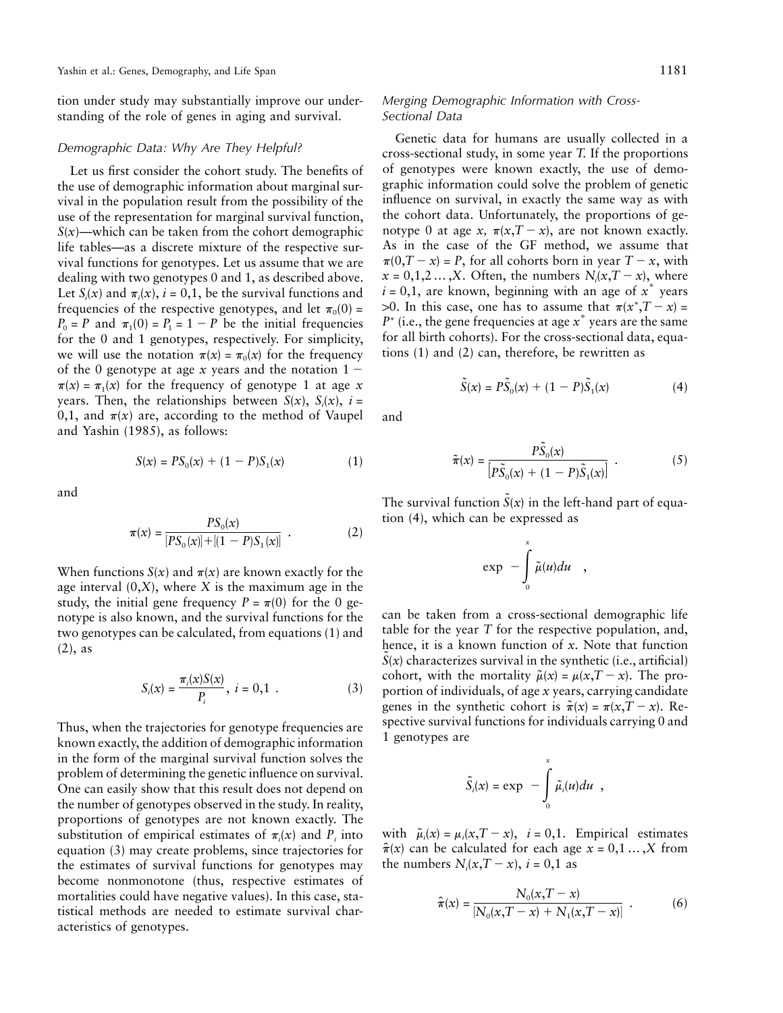tion under study may substantially improve our understanding of the role of genes in aging and survival.

#### *Demographic Data: Why Are They Helpful?*

Let us first consider the cohort study. The benefits of the use of demographic information about marginal survival in the population result from the possibility of the use of the representation for marginal survival function,  $S(x)$ —which can be taken from the cohort demographic life tables—as a discrete mixture of the respective survival functions for genotypes. Let us assume that we are dealing with two genotypes 0 and 1, as described above. Let *S<sub>i</sub>*(*x*) and  $\pi$ <sub>*i*</sub>(*x*), *i* = 0,1, be the survival functions and frequencies of the respective genotypes, and let  $\pi_0(0)$  =  $P_0 = P$  and  $\pi_1(0) = P_1 = 1 - P$  be the initial frequencies for the 0 and 1 genotypes, respectively. For simplicity, we will use the notation  $\pi(x) = \pi_0(x)$  for the frequency of the 0 genotype at age x years and the notation  $1 \pi(x) = \pi_1(x)$  for the frequency of genotype 1 at age *x* years. Then, the relationships between  $S(x)$ ,  $S<sub>i</sub>(x)$ ,  $i =$ 0,1, and  $\pi(x)$  are, according to the method of Vaupel and Yashin (1985), as follows:

$$
S(x) = PS_0(x) + (1 - P)S_1(x)
$$
 (1)

and

$$
\pi(x) = \frac{PS_0(x)}{[PS_0(x)] + [(1 - P)S_1(x)]} \quad . \tag{2}
$$

When functions  $S(x)$  and  $\pi(x)$  are known exactly for the age interval (0,*X*), where *X* is the maximum age in the study, the initial gene frequency  $P = \pi(0)$  for the 0 genotype is also known, and the survival functions for the two genotypes can be calculated, from equations (1) and (2), as

$$
S_i(x) = \frac{\pi_i(x)S(x)}{P_i}, \ i = 0, 1 \ . \tag{3}
$$

Thus, when the trajectories for genotype frequencies are known exactly, the addition of demographic information in the form of the marginal survival function solves the problem of determining the genetic influence on survival. One can easily show that this result does not depend on the number of genotypes observed in the study. In reality, proportions of genotypes are not known exactly. The substitution of empirical estimates of  $\pi_i(x)$  and  $P_i$  into equation (3) may create problems, since trajectories for the estimates of survival functions for genotypes may become nonmonotone (thus, respective estimates of mortalities could have negative values). In this case, statistical methods are needed to estimate survival characteristics of genotypes.

# *Merging Demographic Information with Cross-Sectional Data*

Genetic data for humans are usually collected in a cross-sectional study, in some year *T.* If the proportions of genotypes were known exactly, the use of demographic information could solve the problem of genetic influence on survival, in exactly the same way as with the cohort data. Unfortunately, the proportions of genotype 0 at age *x*,  $\pi(x,T-x)$ , are not known exactly. As in the case of the GF method, we assume that  $\pi(0,T-x) = P$ , for all cohorts born in year  $T-x$ , with  $x = 0, 1, 2, \ldots, X$ . Often, the numbers  $N_i(x, T - x)$ , where  $i = 0,1$ , are known, beginning with an age of  $x^*$  years  $>$ 0. In this case, one has to assume that  $π(x*,T-x) =$ *P*<sup>∗</sup> (i.e., the gene frequencies at age *x*<sup>∗</sup> years are the same for all birth cohorts). For the cross-sectional data, equations (1) and (2) can, therefore, be rewritten as

$$
\tilde{S}(x) = P\tilde{S}_0(x) + (1 - P)\tilde{S}_1(x) \tag{4}
$$

and

$$
\tilde{\pi}(x) = \frac{P\tilde{S}_0(x)}{[P\tilde{S}_0(x) + (1 - P)\tilde{S}_1(x)]} \tag{5}
$$

The survival function  $\tilde{S}(x)$  in the left-hand part of equation (4), which can be expressed as

$$
\exp\left[-\int\limits_{0}^{x}\tilde{\mu}(u)du\right],
$$

can be taken from a cross-sectional demographic life table for the year *T* for the respective population, and, hence, it is a known function of *x.* Note that function  $\tilde{S}(x)$  characterizes survival in the synthetic (i.e., artificial) cohort, with the mortality  $\tilde{\mu}(x) = \mu(x, T - x)$ . The proportion of individuals, of age *x* years, carrying candidate genes in the synthetic cohort is  $\tilde{\pi}(x) = \pi(x, T - x)$ . Respective survival functions for individuals carrying 0 and 1 genotypes are

$$
\tilde{S}_i(x) = \exp \left[-\int\limits_0^x \tilde{\mu}_i(u) du\right],
$$

with  $\tilde{\mu}_i(x) = \mu_i(x, T - x)$ ,  $i = 0, 1$ . Empirical estimates  $\hat{\pi}(x)$  can be calculated for each age  $x = 0, 1, \dots, X$  from the numbers  $N_i(x, T - x)$ ,  $i = 0, 1$  as

$$
\hat{\pi}(x) = \frac{N_0(x, T - x)}{[N_0(x, T - x) + N_1(x, T - x)]} \ . \tag{6}
$$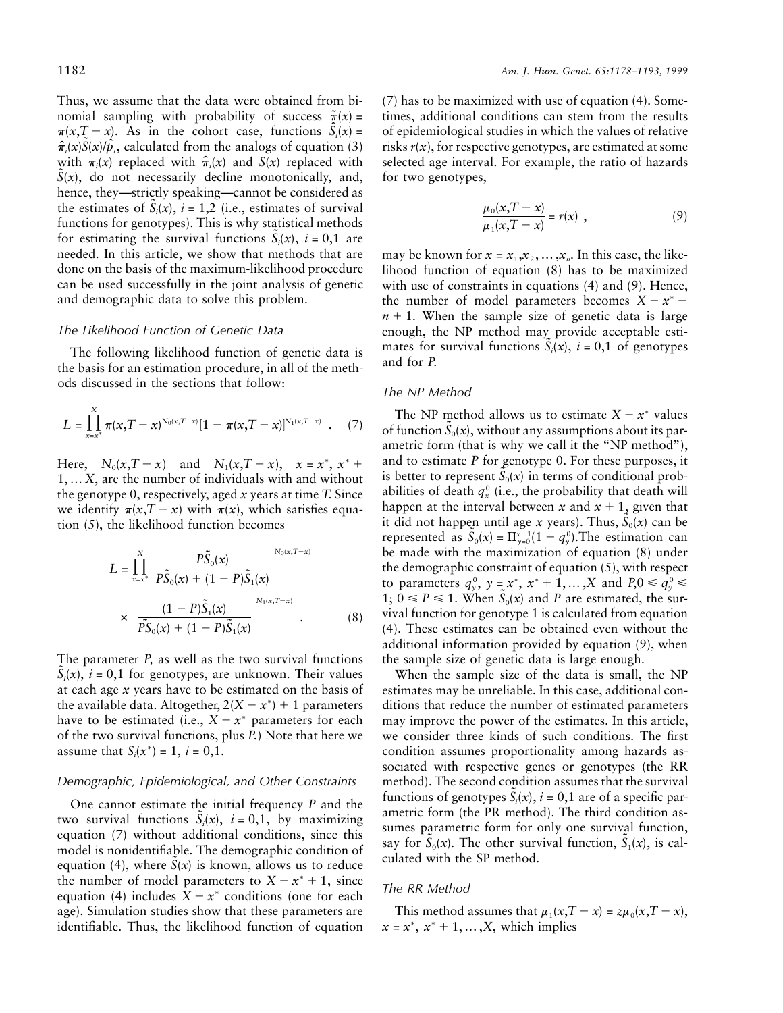Thus, we assume that the data were obtained from binomial sampling with probability of success  $\tilde{\pi}(x)$  =  $\pi(x, T - x)$ . As in the cohort case, functions  $\hat{S}_i(x) =$  $\hat{\pi}_i(x)S(x)/\hat{p}_i$ , calculated from the analogs of equation (3) with  $\pi_i(x)$  replaced with  $\hat{\pi}_i(x)$  and  $S(x)$  replaced with  $\hat{S}(x)$ , do not necessarily decline monotonically, and, hence, they—strictly speaking—cannot be considered as the estimates of  $\tilde{S}_i(x)$ ,  $i = 1,2$  (*i.e.*, estimates of survival functions for genotypes). This is why statistical methods for estimating the survival functions  $\tilde{S}_i(x)$ ,  $i = 0,1$  are needed. In this article, we show that methods that are done on the basis of the maximum-likelihood procedure can be used successfully in the joint analysis of genetic and demographic data to solve this problem.

## *The Likelihood Function of Genetic Data*

The following likelihood function of genetic data is the basis for an estimation procedure, in all of the methods discussed in the sections that follow:

$$
L = \prod_{x=x^*}^{X} \pi(x, T-x)^{N_0(x, T-x)} [1 - \pi(x, T-x)]^{N_1(x, T-x)} . \quad (7)
$$

Here,  $N_0(x, T - x)$  and  $N_1(x, T - x)$ ,  $x = x^*$ ,  $x^*$  +  $1, \ldots X$ , are the number of individuals with and without the genotype 0, respectively, aged *x* years at time *T.* Since we identify  $\pi(x,T-x)$  with  $\pi(x)$ , which satisfies equation (5), the likelihood function becomes

$$
L = \prod_{x=x^*}^{X} \left[ \frac{P\tilde{S}_0(x)}{P\tilde{S}_0(x) + (1-P)\tilde{S}_1(x)} \right]^{N_0(x,T-x)} \times \left[ \frac{(1-P)\tilde{S}_1(x)}{P\tilde{S}_0(x) + (1-P)\tilde{S}_1(x)} \right]^{N_1(x,T-x)} .
$$
 (8)

The parameter *P,* as well as the two survival functions  $\tilde{S}_i(x)$ ,  $i = 0,1$  for genotypes, are unknown. Their values at each age *x* years have to be estimated on the basis of the available data. Altogether,  $2(X - x^*) + 1$  parameters have to be estimated (i.e.,  $X - x^*$  parameters for each of the two survival functions, plus *P.*) Note that here we assume that  $S_i(x^*) = 1$ ,  $i = 0,1$ .

#### *Demographic, Epidemiological, and Other Constraints*

One cannot estimate the initial frequency *P* and the two survival functions  $\tilde{S}_i(x)$ ,  $i = 0,1$ , by maximizing equation (7) without additional conditions, since this model is nonidentifiable. The demographic condition of equation (4), where  $\tilde{S}(x)$  is known, allows us to reduce the number of model parameters to  $X - x^* + 1$ , since equation (4) includes  $X - x^*$  conditions (one for each age). Simulation studies show that these parameters are identifiable. Thus, the likelihood function of equation

(7) has to be maximized with use of equation (4). Sometimes, additional conditions can stem from the results of epidemiological studies in which the values of relative risks  $r(x)$ , for respective genotypes, are estimated at some selected age interval. For example, the ratio of hazards for two genotypes,

$$
\frac{\mu_0(x, T - x)}{\mu_1(x, T - x)} = r(x) ,
$$
\n(9)

may be known for  $x = x_1, x_2, \ldots, x_n$ . In this case, the likelihood function of equation (8) has to be maximized with use of constraints in equations (4) and (9). Hence, the number of model parameters becomes  $X - x^*$  –  $n + 1$ . When the sample size of genetic data is large enough, the NP method may provide acceptable estimates for survival functions  $\tilde{S}_i(x)$ ,  $i = 0,1$  of genotypes and for *P.*

## *The NP Method*

The NP method allows us to estimate  $X - x^*$  values of function  $\tilde{S}_0(x)$ , without any assumptions about its parametric form (that is why we call it the "NP method"), and to estimate *P* for genotype 0. For these purposes, it is better to represent  $\tilde{S}_0(x)$  in terms of conditional probabilities of death  $q_x^0$  (i.e., the probability that death will happen at the interval between *x* and  $x + 1$ , given that it did not happen until age *x* years). Thus,  $\tilde{S}_0(x)$  can be represented as  $S_0(x) = \prod_{\gamma=0}^{x-1} (1 - q_\gamma^0)$ . The estimation can be made with the maximization of equation (8) under the demographic constraint of equation (5), with respect to parameters  $q_v^0$ ,  $y = x^*$ ,  $x^* + 1, \dots, X$  and  $P_v^0 \le q_v^0 \le$  $1; 0 \leq P \leq 1$ . When  $\bar{S}_0(x)$  and *P* are estimated, the survival function for genotype 1 is calculated from equation (4). These estimates can be obtained even without the additional information provided by equation (9), when the sample size of genetic data is large enough.

When the sample size of the data is small, the NP estimates may be unreliable. In this case, additional conditions that reduce the number of estimated parameters may improve the power of the estimates. In this article, we consider three kinds of such conditions. The first condition assumes proportionality among hazards associated with respective genes or genotypes (the RR method). The second condition assumes that the survival functions of genotypes  $\tilde{S}_i(x)$ ,  $i = 0,1$  are of a specific parametric form (the PR method). The third condition assumes parametric form for only one survival function, say for  $\bar{S}_0(x)$ . The other survival function,  $\bar{S}_1(x)$ , is calculated with the SP method.

## *The RR Method*

This method assumes that  $\mu_1(x, T - x) = z\mu_0(x, T - x)$ ,  $x = x^*$ ,  $x^* + 1, \ldots, X$ , which implies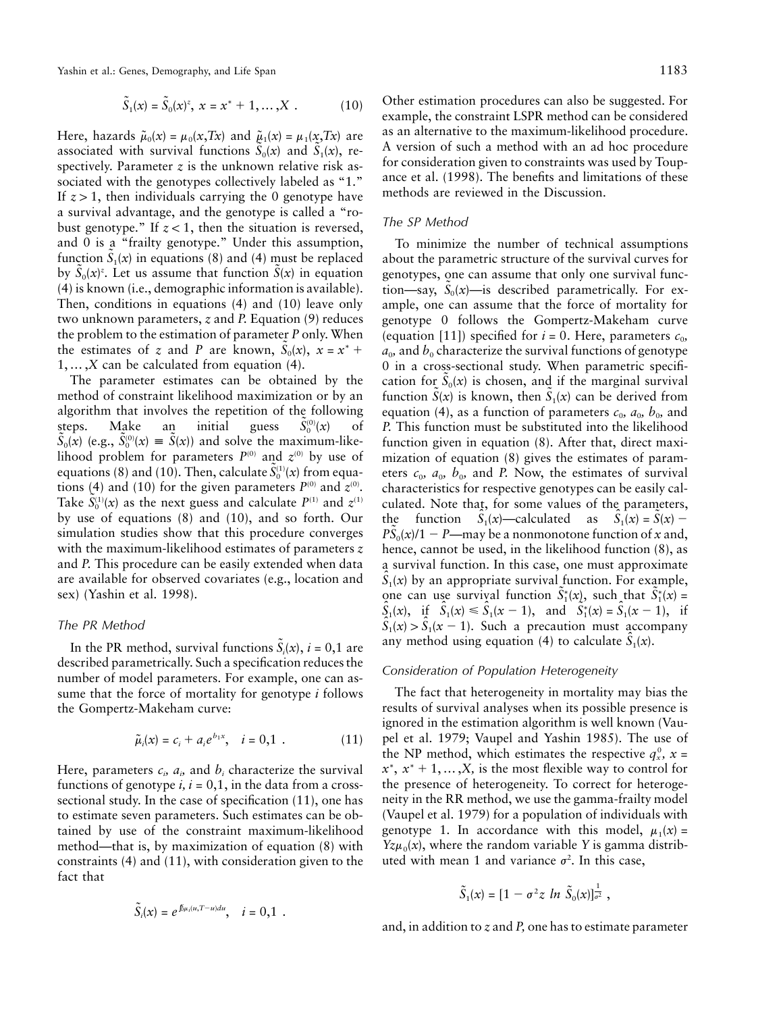Yashin et al.: Genes, Demography, and Life Span 1183

$$
\tilde{S}_1(x) = \tilde{S}_0(x)^x, \ x = x^* + 1, \dots, X \ . \tag{10}
$$

Here, hazards  $\tilde{\mu}_0(x) = \mu_0(x, Tx)$  and  $\tilde{\mu}_1(x) = \mu_1(x, Tx)$  are associated with survival functions  $S_0(x)$  and  $S_1(x)$ , respectively. Parameter *z* is the unknown relative risk associated with the genotypes collectively labeled as "1." If  $z > 1$ , then individuals carrying the 0 genotype have a survival advantage, and the genotype is called a "robust genotype." If  $z < 1$ , then the situation is reversed, and 0 is a "frailty genotype." Under this assumption, function  $\tilde{S}_1(x)$  in equations (8) and (4) must be replaced by  $S_0(x)^z$ . Let us assume that function  $S(x)$  in equation (4) is known (i.e., demographic information is available). Then, conditions in equations (4) and (10) leave only two unknown parameters, *z* and *P.* Equation (9) reduces the problem to the estimation of parameter *P* only. When the estimates of *z* and *P* are known,  $S_0(x)$ ,  $x = x^* +$ 1, ...,*X* can be calculated from equation (4).

The parameter estimates can be obtained by the method of constraint likelihood maximization or by an algorithm that involves the repetition of the following steps. Make an initial guess  $\tilde{S}_0^{(0)}(x)$  of steps. Make an initial guess  $S_0^{(0)}(x)$  of  $\tilde{S}_0(x)$  (e.g.,  $\tilde{S}_0^{(0)}(x) \equiv \tilde{S}(x)$ ) and solve the maximum-likelihood problem for parameters  $P^{(0)}$  and  $z^{(0)}$  by use of equations (8) and (10). Then, calculate  $S_0^{(1)}(x)$  from equations (4) and (10) for the given parameters  $P^{(0)}$  and  $z^{(0)}$ . Take  $\tilde{S}_0^{(1)}(x)$  as the next guess and calculate  $P^{(1)}$  and  $z^{(1)}$ by use of equations (8) and (10), and so forth. Our simulation studies show that this procedure converges with the maximum-likelihood estimates of parameters *z* and *P.* This procedure can be easily extended when data are available for observed covariates (e.g., location and sex) (Yashin et al. 1998).

## *The PR Method*

In the PR method, survival functions  $\tilde{S}_i(x)$ ,  $i = 0,1$  are described parametrically. Such a specification reduces the number of model parameters. For example, one can assume that the force of mortality for genotype *i* follows the Gompertz-Makeham curve:

$$
\tilde{\mu}_i(x) = c_i + a_i e^{b_1 x}, \quad i = 0, 1 . \tag{11}
$$

Here, parameters  $c_i$ ,  $a_i$ , and  $b_i$  characterize the survival functions of genotype  $i, i = 0,1$ , in the data from a crosssectional study. In the case of specification (11), one has to estimate seven parameters. Such estimates can be obtained by use of the constraint maximum-likelihood method—that is, by maximization of equation (8) with constraints (4) and (11), with consideration given to the fact that

$$
\tilde{S}_i(x) = e^{\int_{0}^{x} \mu_i(u, T-u) du}, \quad i = 0,1.
$$

Other estimation procedures can also be suggested. For example, the constraint LSPR method can be considered as an alternative to the maximum-likelihood procedure. A version of such a method with an ad hoc procedure for consideration given to constraints was used by Toupance et al. (1998). The benefits and limitations of these methods are reviewed in the Discussion.

#### *The SP Method*

To minimize the number of technical assumptions about the parametric structure of the survival curves for genotypes, one can assume that only one survival func- $\sum_{i=1}^{N}$   $\sum_{i=1}^{N}$   $\sum_{i=1}^{N}$   $\sum_{i=1}^{N}$   $\sum_{i=1}^{N}$   $\sum_{i=1}^{N}$   $\sum_{i=1}^{N}$   $\sum_{i=1}^{N}$   $\sum_{i=1}^{N}$   $\sum_{i=1}^{N}$   $\sum_{i=1}^{N}$   $\sum_{i=1}^{N}$   $\sum_{i=1}^{N}$   $\sum_{i=1}^{N}$   $\sum_{i=1}^{N}$   $\sum_{i=1}^{N}$   $\sum_{i=1}^{N}$  ample, one can assume that the force of mortality for genotype 0 follows the Gompertz-Makeham curve (equation [11]) specified for  $i = 0$ . Here, parameters  $c_0$ ,  $a_0$ , and  $b_0$  characterize the survival functions of genotype 0 in a cross-sectional study. When parametric specification for  $\tilde{S}_0(x)$  is chosen, and if the marginal survival function  $\tilde{S}(x)$  is known, then  $\tilde{S}_1(x)$  can be derived from equation (4), as a function of parameters  $c_0$ ,  $a_0$ ,  $b_0$ , and *P.* This function must be substituted into the likelihood function given in equation (8). After that, direct maximization of equation (8) gives the estimates of parameters  $c_0$ ,  $a_0$ ,  $b_0$ , and *P*. Now, the estimates of survival characteristics for respective genotypes can be easily calculated. Note that, for some values of the parameters, the function  $S_1(x)$ —calculated as  $S_1(x) = S(x)$  –  $PS_0(x)/1 - P$ —may be a nonmonotone function of *x* and, hence, cannot be used, in the likelihood function (8), as a survival function. In this case, one must approximate  $\hat{S}_1(x)$  by an appropriate survival function. For example, one can use survival function  $S_1^*(x)$ , such that  $S_1^*(x)$  =  $\hat{S}_1(x)$ , if  $\hat{S}_1(x) \leq \hat{S}_1(x-1)$ , and  $\hat{S}_1^*(x) = \hat{S}_1(x-1)$ , if  $S_1(x) > S_1(x - 1)$ . Such a precaution must accompany any method using equation (4) to calculate  $\hat{S}_1(x)$ .

## *Consideration of Population Heterogeneity*

The fact that heterogeneity in mortality may bias the results of survival analyses when its possible presence is ignored in the estimation algorithm is well known (Vaupel et al. 1979; Vaupel and Yashin 1985). The use of the NP method, which estimates the respective  $q_x^0$ ,  $x =$  $x^*$ ,  $x^*$  + 1, ...,*X*, is the most flexible way to control for the presence of heterogeneity. To correct for heterogeneity in the RR method, we use the gamma-frailty model (Vaupel et al. 1979) for a population of individuals with genotype 1. In accordance with this model,  $\mu_1(x) =$  $Y_{\mathcal{Z}\mu_0}(x)$ , where the random variable *Y* is gamma distributed with mean 1 and variance  $\sigma^2$ . In this case,

$$
\tilde{S}_1(x) = [1 - \sigma^2 z \ln \tilde{S}_0(x)]_{\sigma^2}^{\frac{1}{2}},
$$

and, in addition to *z* and *P,* one has to estimate parameter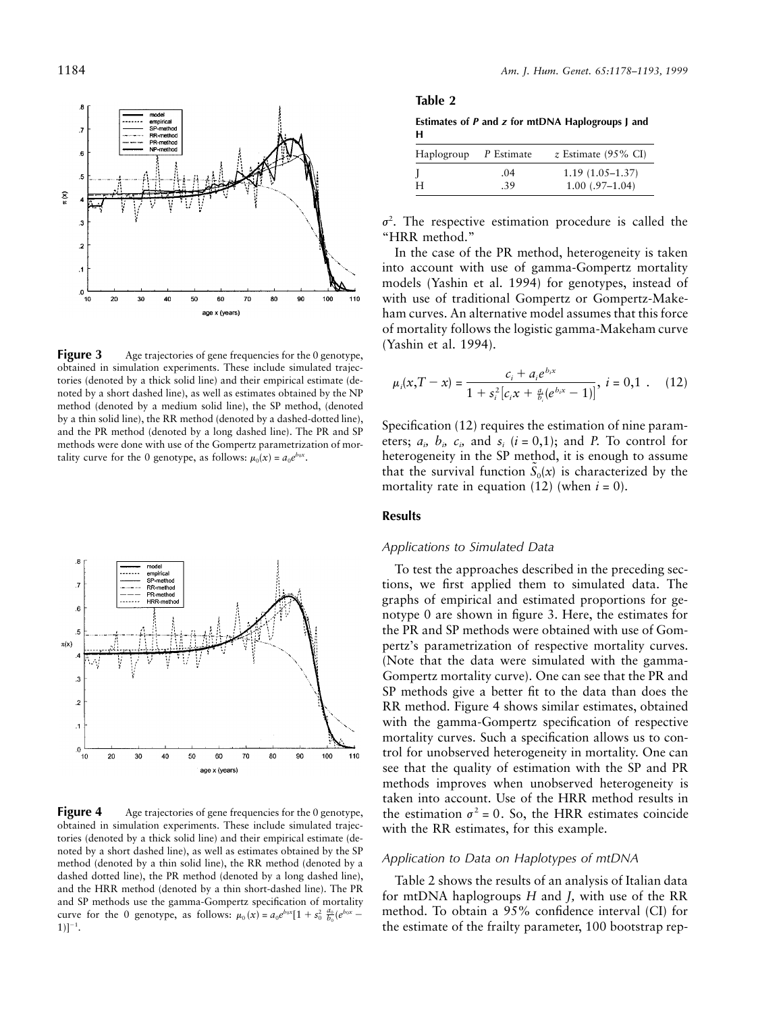

**Figure** 3 Age trajectories of gene frequencies for the 0 genotype, obtained in simulation experiments. These include simulated trajectories (denoted by a thick solid line) and their empirical estimate (denoted by a short dashed line), as well as estimates obtained by the NP method (denoted by a medium solid line), the SP method, (denoted by a thin solid line), the RR method (denoted by a dashed-dotted line), and the PR method (denoted by a long dashed line). The PR and SP methods were done with use of the Gompertz parametrization of mortality curve for the 0 genotype, as follows:  $\mu_0(x) = a_0 e^{b_0 x}$ .



**Figure 4** Age trajectories of gene frequencies for the 0 genotype, obtained in simulation experiments. These include simulated trajectories (denoted by a thick solid line) and their empirical estimate (denoted by a short dashed line), as well as estimates obtained by the SP method (denoted by a thin solid line), the RR method (denoted by a dashed dotted line), the PR method (denoted by a long dashed line), and the HRR method (denoted by a thin short-dashed line). The PR and SP methods use the gamma-Gompertz specification of mortality curve for the 0 genotype, as follows:  $\mu_0(x) = a_0 e^{b_0 x} [1 + s_0^2 \frac{a_0}{b_0} (e^{b_0 x} 1$ )]<sup>-1</sup>.

#### **Table 2**

**Estimates of** *P* **and** *z* **for mtDNA Haplogroups J and H**

| Haplogroup | P Estimate | $\zeta$ Estimate (95% CI)                |
|------------|------------|------------------------------------------|
| H          | .04<br>.39 | $1.19(1.05-1.37)$<br>$1.00$ $(.97-1.04)$ |

 $\sigma^2$ . The respective estimation procedure is called the "HRR method."

In the case of the PR method, heterogeneity is taken into account with use of gamma-Gompertz mortality models (Yashin et al. 1994) for genotypes, instead of with use of traditional Gompertz or Gompertz-Makeham curves. An alternative model assumes that this force of mortality follows the logistic gamma-Makeham curve (Yashin et al. 1994).

$$
\mu_i(x,T-x) = \frac{c_i + a_i e^{b_i x}}{1 + s_i^2 [c_i x + \frac{a_i}{b_i} (e^{b_i x} - 1)]}, \ i = 0,1 \ . \tag{12}
$$

Specification (12) requires the estimation of nine parameters;  $a_i$ ,  $b_i$ ,  $c_i$ , and  $s_i$  ( $i = 0,1$ ); and *P*. To control for heterogeneity in the SP method, it is enough to assume that the survival function  $\tilde{S}_0(x)$  is characterized by the mortality rate in equation (12) (when  $i = 0$ ).

#### **Results**

#### *Applications to Simulated Data*

To test the approaches described in the preceding sections, we first applied them to simulated data. The graphs of empirical and estimated proportions for genotype 0 are shown in figure 3. Here, the estimates for the PR and SP methods were obtained with use of Gompertz's parametrization of respective mortality curves. (Note that the data were simulated with the gamma-Gompertz mortality curve). One can see that the PR and SP methods give a better fit to the data than does the RR method. Figure 4 shows similar estimates, obtained with the gamma-Gompertz specification of respective mortality curves. Such a specification allows us to control for unobserved heterogeneity in mortality. One can see that the quality of estimation with the SP and PR methods improves when unobserved heterogeneity is taken into account. Use of the HRR method results in the estimation  $\sigma^2 = 0$ . So, the HRR estimates coincide with the RR estimates, for this example.

# *Application to Data on Haplotypes of mtDNA*

Table 2 shows the results of an analysis of Italian data for mtDNA haplogroups *H* and *J,* with use of the RR method. To obtain a 95% confidence interval (CI) for the estimate of the frailty parameter, 100 bootstrap rep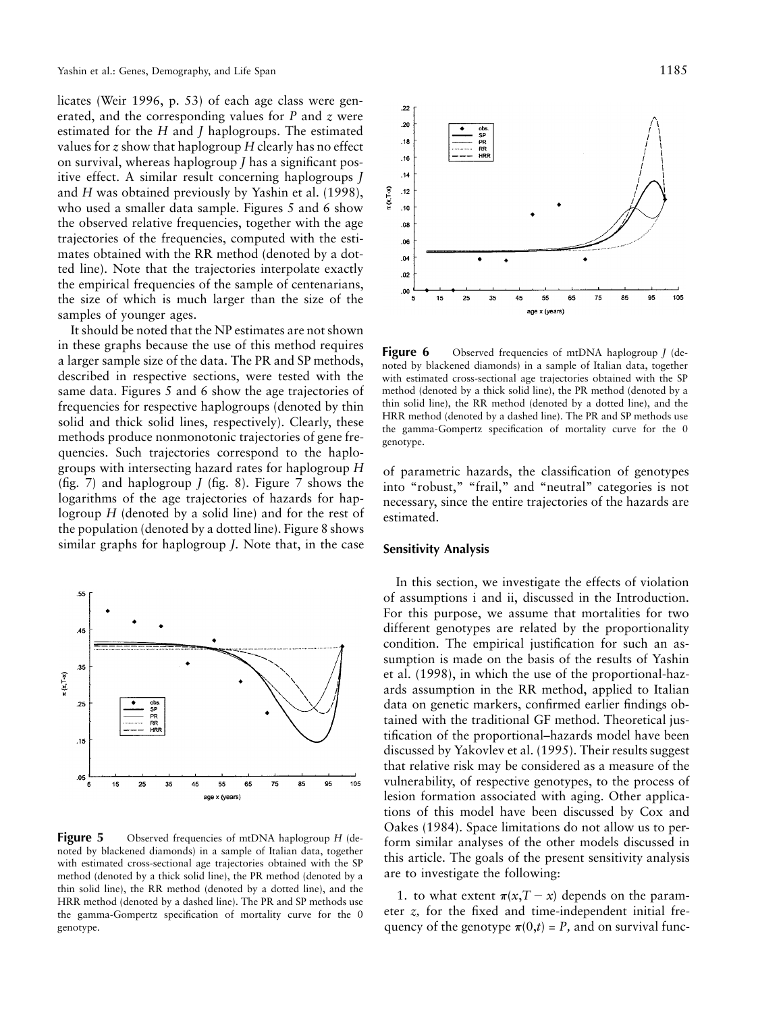licates (Weir 1996, p. 53) of each age class were generated, and the corresponding values for *P* and *z* were estimated for the *H* and *J* haplogroups. The estimated values for *z* show that haplogroup *H* clearly has no effect on survival, whereas haplogroup *J* has a significant positive effect. A similar result concerning haplogroups *J* and *H* was obtained previously by Yashin et al. (1998), who used a smaller data sample. Figures 5 and 6 show the observed relative frequencies, together with the age trajectories of the frequencies, computed with the estimates obtained with the RR method (denoted by a dotted line). Note that the trajectories interpolate exactly the empirical frequencies of the sample of centenarians, the size of which is much larger than the size of the samples of younger ages.

It should be noted that the NP estimates are not shown in these graphs because the use of this method requires a larger sample size of the data. The PR and SP methods, described in respective sections, were tested with the same data. Figures 5 and 6 show the age trajectories of frequencies for respective haplogroups (denoted by thin solid and thick solid lines, respectively). Clearly, these methods produce nonmonotonic trajectories of gene frequencies. Such trajectories correspond to the haplogroups with intersecting hazard rates for haplogroup *H* (fig. 7) and haplogroup *J* (fig. 8). Figure 7 shows the logarithms of the age trajectories of hazards for haplogroup *H* (denoted by a solid line) and for the rest of the population (denoted by a dotted line). Figure 8 shows similar graphs for haplogroup *J.* Note that, in the case



**Figure 5** Observed frequencies of mtDNA haplogroup *H* (denoted by blackened diamonds) in a sample of Italian data, together with estimated cross-sectional age trajectories obtained with the SP method (denoted by a thick solid line), the PR method (denoted by a thin solid line), the RR method (denoted by a dotted line), and the HRR method (denoted by a dashed line). The PR and SP methods use the gamma-Gompertz specification of mortality curve for the 0 genotype.



**Figure 6** Observed frequencies of mtDNA haplogroup *J* (denoted by blackened diamonds) in a sample of Italian data, together with estimated cross-sectional age trajectories obtained with the SP method (denoted by a thick solid line), the PR method (denoted by a thin solid line), the RR method (denoted by a dotted line), and the HRR method (denoted by a dashed line). The PR and SP methods use the gamma-Gompertz specification of mortality curve for the 0 genotype.

of parametric hazards, the classification of genotypes into "robust," "frail," and "neutral" categories is not necessary, since the entire trajectories of the hazards are estimated.

## **Sensitivity Analysis**

In this section, we investigate the effects of violation of assumptions i and ii, discussed in the Introduction. For this purpose, we assume that mortalities for two different genotypes are related by the proportionality condition. The empirical justification for such an assumption is made on the basis of the results of Yashin et al. (1998), in which the use of the proportional-hazards assumption in the RR method, applied to Italian data on genetic markers, confirmed earlier findings obtained with the traditional GF method. Theoretical justification of the proportional–hazards model have been discussed by Yakovlev et al. (1995). Their results suggest that relative risk may be considered as a measure of the vulnerability, of respective genotypes, to the process of lesion formation associated with aging. Other applications of this model have been discussed by Cox and Oakes (1984). Space limitations do not allow us to perform similar analyses of the other models discussed in this article. The goals of the present sensitivity analysis are to investigate the following:

1. to what extent  $\pi(x,T-x)$  depends on the parameter *z,* for the fixed and time-independent initial frequency of the genotype  $\pi(0,t) = P$ , and on survival func-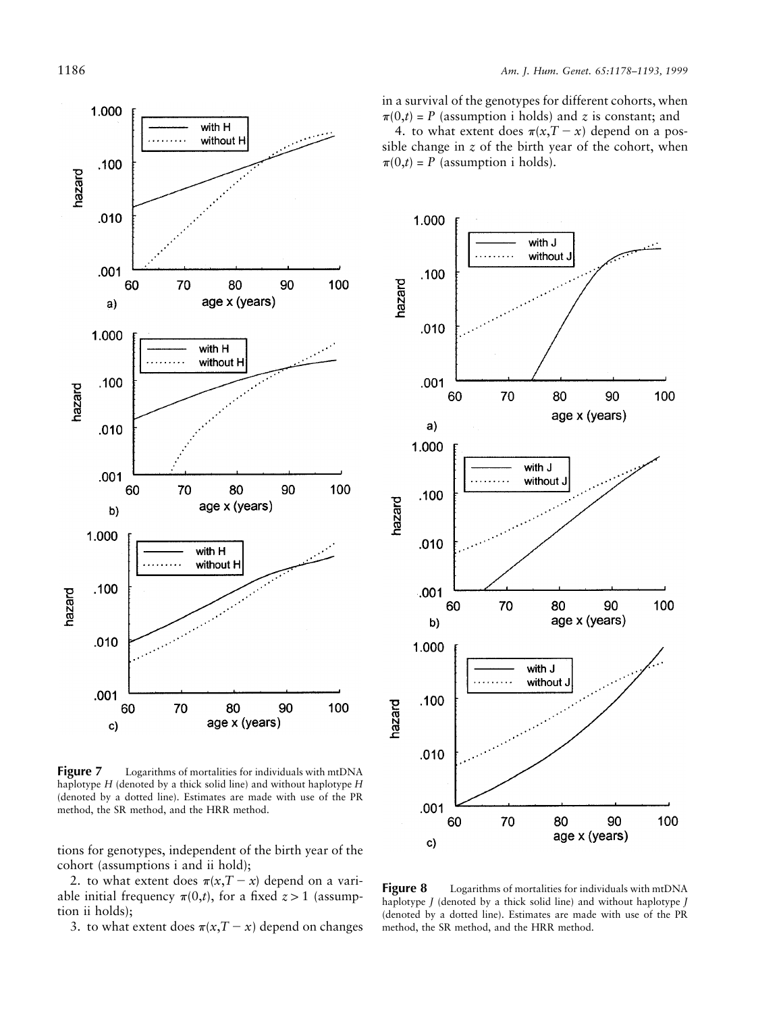

**Figure 7** Logarithms of mortalities for individuals with mtDNA haplotype *H* (denoted by a thick solid line) and without haplotype *H* (denoted by a dotted line). Estimates are made with use of the PR method, the SR method, and the HRR method.

tions for genotypes, independent of the birth year of the cohort (assumptions i and ii hold);

2. to what extent does  $\pi(x,T-x)$  depend on a variable initial frequency  $\pi(0,t)$ , for a fixed  $z > 1$  (assumption ii holds);

3. to what extent does  $\pi(x, T - x)$  depend on changes

in a survival of the genotypes for different cohorts, when  $\pi(0,t) = P$  (assumption i holds) and *z* is constant; and 4. to what extent does  $\pi(x,T-x)$  depend on a possible change in  $z$  of the birth year of the cohort, when  $\pi(0,t) = P$  (assumption i holds).



**Figure 8** Logarithms of mortalities for individuals with mtDNA haplotype *J* (denoted by a thick solid line) and without haplotype *J* (denoted by a dotted line). Estimates are made with use of the PR method, the SR method, and the HRR method.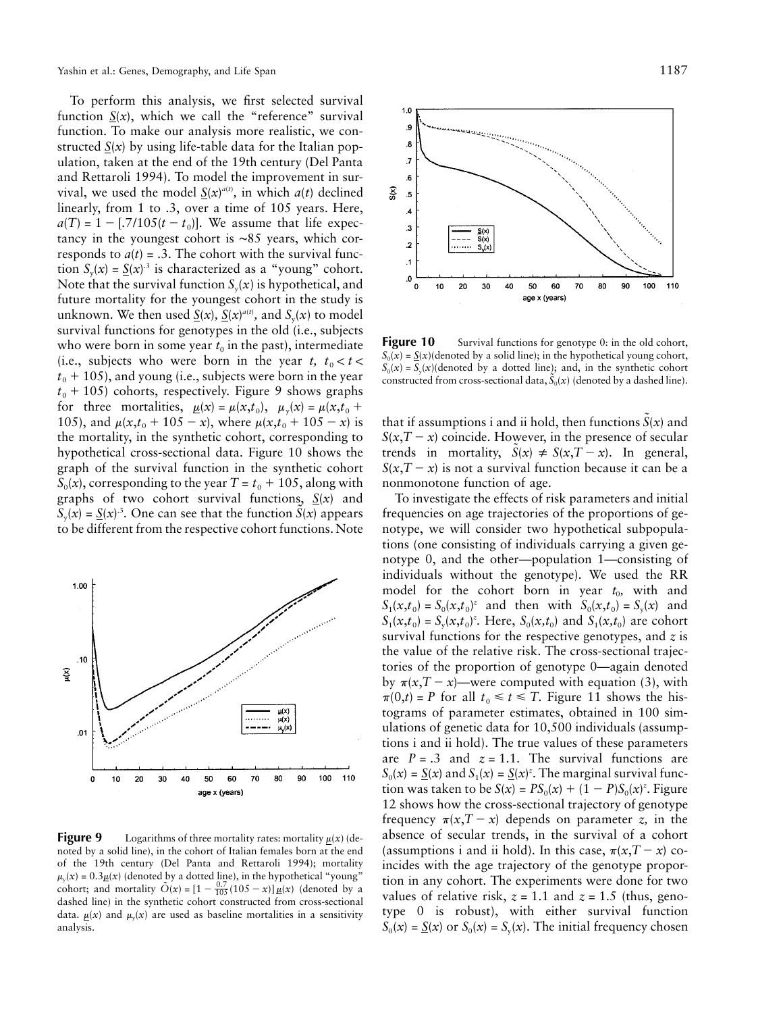To perform this analysis, we first selected survival function  $S(x)$ , which we call the "reference" survival function. To make our analysis more realistic, we constructed  $S(x)$  by using life-table data for the Italian population, taken at the end of the 19th century (Del Panta and Rettaroli 1994). To model the improvement in survival, we used the model  $S(x)^{a(t)}$ , in which  $a(t)$  declined linearly, from 1 to .3, over a time of 105 years. Here,  $a(T) = 1 - [.7/105(t - t_0)].$  We assume that life expectancy in the youngest cohort is ∼85 years, which corresponds to  $a(t) = .3$ . The cohort with the survival function  $S_v(x) = \underline{S}(x)$ <sup>3</sup> is characterized as a "young" cohort. Note that the survival function  $S_y(x)$  is hypothetical, and future mortality for the youngest cohort in the study is unknown. We then used  $S(x)$ ,  $S(x)^{a(t)}$ , and  $S_y(x)$  to model survival functions for genotypes in the old (i.e., subjects who were born in some year  $t_0$  in the past), intermediate (i.e., subjects who were born in the year *t*,  $t_0 < t <$  $t_0$  + 105), and young (i.e., subjects were born in the year  $t_0 + 105$ ) cohorts, respectively. Figure 9 shows graphs for three mortalities,  $\underline{\mu}(x) = \mu(x,t_0)$ ,  $\mu_y(x) = \mu(x,t_0 +$ 105), and  $\mu(x,t_0 + 105 - x)$ , where  $\mu(x,t_0 + 105 - x)$  is the mortality, in the synthetic cohort, corresponding to hypothetical cross-sectional data. Figure 10 shows the graph of the survival function in the synthetic cohort  $S_0(x)$ , corresponding to the year  $T = t_0 + 105$ , along with graphs of two cohort survival functions, *S*(*x*) and  $S_v(x) = \underline{S}(x)^3$ . One can see that the function  $\overline{S}(x)$  appears to be different from the respective cohort functions. Note



**Figure 9** Logarithms of three mortality rates: mortality  $\mu(x)$  (denoted by a solid line), in the cohort of Italian females born at the end of the 19th century (Del Panta and Rettaroli 1994); mortality  $\mu_{v}(x) = 0.3 \mu(x)$  (denoted by a dotted line), in the hypothetical "young" cohort; and mortality  $\tilde{O}(x) = \left[1 - \frac{0.7}{105}(105 - x)\right]\mu(x)$  (denoted by a dashed line) in the synthetic cohort constructed from cross-sectional data.  $\mu(x)$  and  $\mu_v(x)$  are used as baseline mortalities in a sensitivity analysis.



**Figure 10** Survival functions for genotype 0: in the old cohort,  $S_0(x) = S(x)$ (denoted by a solid line); in the hypothetical young cohort,  $S_0(x) = S_0(x)$  (denoted by a dotted line); and, in the synthetic cohort constructed from cross-sectional data,  $\tilde{S}_0(x)$  (denoted by a dashed line).

that if assumptions i and ii hold, then functions  $\tilde{S}(x)$  and  $S(x,T-x)$  coincide. However, in the presence of secular trends in mortality,  $\tilde{S}(x) \neq S(x,T-x)$ . In general,  $S(x,T-x)$  is not a survival function because it can be a nonmonotone function of age.

To investigate the effects of risk parameters and initial frequencies on age trajectories of the proportions of genotype, we will consider two hypothetical subpopulations (one consisting of individuals carrying a given genotype 0, and the other—population 1—consisting of individuals without the genotype). We used the RR model for the cohort born in year  $t_0$ , with and  $S_1(x,t_0) = S_0(x,t_0)^z$  and then with  $S_0(x,t_0) = S_\nu(x)$  and  $S_1(x,t_0) = S_\nu(x,t_0)^z$ . Here,  $S_0(x,t_0)$  and  $S_1(x,t_0)$  are cohort survival functions for the respective genotypes, and *z* is the value of the relative risk. The cross-sectional trajectories of the proportion of genotype 0—again denoted by  $\pi(x,T-x)$ —were computed with equation (3), with  $\pi(0,t) = P$  for all  $t_0 \le t \le T$ . Figure 11 shows the histograms of parameter estimates, obtained in 100 simulations of genetic data for 10,500 individuals (assumptions i and ii hold). The true values of these parameters are  $P = .3$  and  $z = 1.1$ . The survival functions are  $S_0(x) = \underline{S}(x)$  and  $S_1(x) = \underline{S}(x)^z$ . The marginal survival function was taken to be  $S(x) = PS_0(x) + (1 - P)S_0(x)^z$ . Figure 12 shows how the cross-sectional trajectory of genotype frequency  $\pi(x,T-x)$  depends on parameter *z*, in the absence of secular trends, in the survival of a cohort (assumptions i and ii hold). In this case,  $\pi(x, T - x)$  coincides with the age trajectory of the genotype proportion in any cohort. The experiments were done for two values of relative risk,  $z = 1.1$  and  $z = 1.5$  (thus, genotype 0 is robust), with either survival function  $S_0(x) = S(x)$  or  $S_0(x) = S_y(x)$ . The initial frequency chosen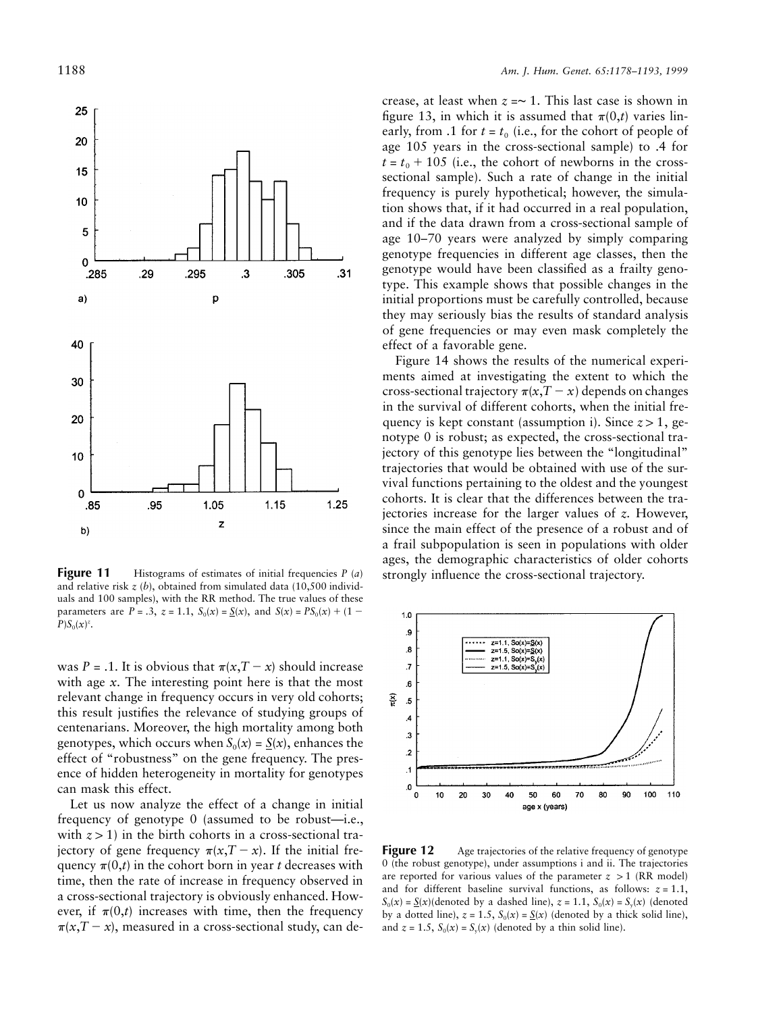

**Figure 11** Histograms of estimates of initial frequencies *P* (*a*) and relative risk *z* (*b*), obtained from simulated data (10,500 individuals and 100 samples), with the RR method. The true values of these parameters are  $P = .3$ ,  $z = 1.1$ ,  $S_0(x) = S(x)$ , and  $S(x) = PS_0(x) + (1 P)S_0(x)^z$ .

was *P* = .1. It is obvious that  $\pi(x, T - x)$  should increase with age *x.* The interesting point here is that the most relevant change in frequency occurs in very old cohorts; this result justifies the relevance of studying groups of centenarians. Moreover, the high mortality among both genotypes, which occurs when  $S_0(x) = S(x)$ , enhances the effect of "robustness" on the gene frequency. The presence of hidden heterogeneity in mortality for genotypes can mask this effect.

Let us now analyze the effect of a change in initial frequency of genotype 0 (assumed to be robust—i.e., with  $z > 1$ ) in the birth cohorts in a cross-sectional trajectory of gene frequency  $\pi(x,T-x)$ . If the initial frequency  $\pi(0,t)$  in the cohort born in year *t* decreases with time, then the rate of increase in frequency observed in a cross-sectional trajectory is obviously enhanced. However, if  $\pi(0,t)$  increases with time, then the frequency  $\pi(x,T-x)$ , measured in a cross-sectional study, can de-

crease, at least when *z =*∼ 1. This last case is shown in figure 13, in which it is assumed that  $\pi(0,t)$  varies linearly, from .1 for  $t = t_0$  (i.e., for the cohort of people of age 105 years in the cross-sectional sample) to .4 for  $t = t_0 + 105$  (i.e., the cohort of newborns in the crosssectional sample). Such a rate of change in the initial frequency is purely hypothetical; however, the simulation shows that, if it had occurred in a real population, and if the data drawn from a cross-sectional sample of age 10–70 years were analyzed by simply comparing genotype frequencies in different age classes, then the genotype would have been classified as a frailty genotype. This example shows that possible changes in the initial proportions must be carefully controlled, because they may seriously bias the results of standard analysis of gene frequencies or may even mask completely the effect of a favorable gene.

Figure 14 shows the results of the numerical experiments aimed at investigating the extent to which the cross-sectional trajectory  $\pi(x, T - x)$  depends on changes in the survival of different cohorts, when the initial frequency is kept constant (assumption i). Since  $z > 1$ , genotype 0 is robust; as expected, the cross-sectional trajectory of this genotype lies between the "longitudinal" trajectories that would be obtained with use of the survival functions pertaining to the oldest and the youngest cohorts. It is clear that the differences between the trajectories increase for the larger values of *z.* However, since the main effect of the presence of a robust and of a frail subpopulation is seen in populations with older ages, the demographic characteristics of older cohorts strongly influence the cross-sectional trajectory.



**Figure 12** Age trajectories of the relative frequency of genotype 0 (the robust genotype), under assumptions i and ii. The trajectories are reported for various values of the parameter  $z > 1$  (RR model) and for different baseline survival functions, as follows:  $z = 1.1$ ,  $S_0(x) = S(x)$ (denoted by a dashed line),  $z = 1.1$ ,  $S_0(x) = S_y(x)$  (denoted by a dotted line),  $z = 1.5$ ,  $S_0(x) = S(x)$  (denoted by a thick solid line), and  $z = 1.5$ ,  $S_0(x) = S_y(x)$  (denoted by a thin solid line).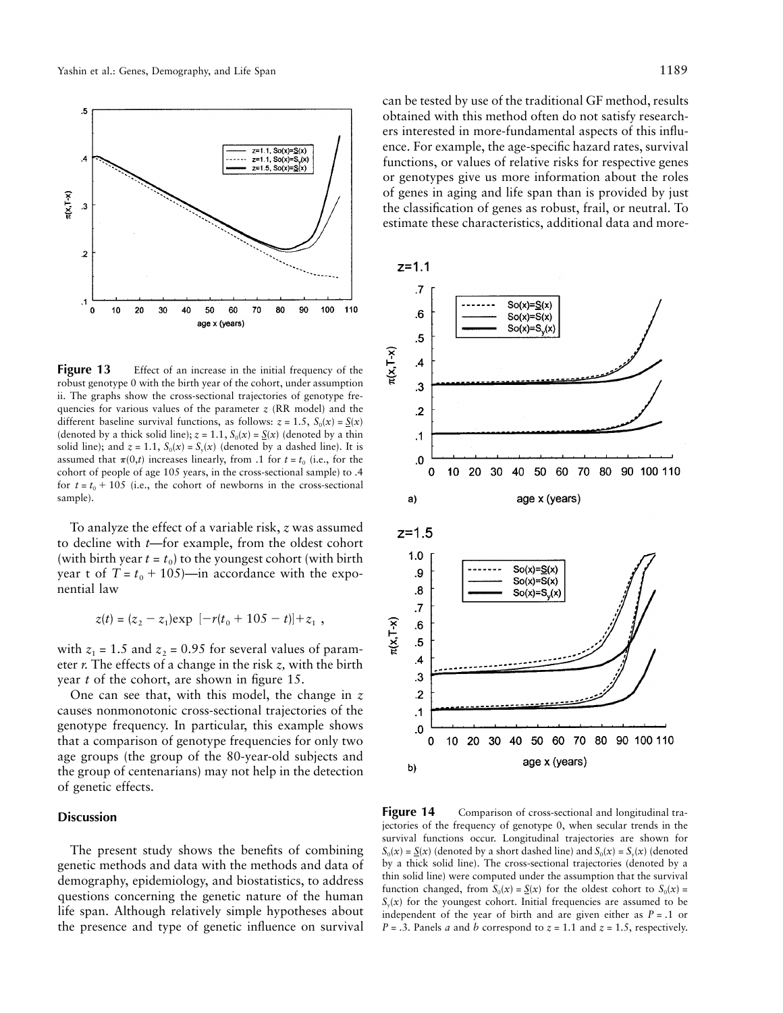

**Figure 13** Effect of an increase in the initial frequency of the robust genotype 0 with the birth year of the cohort, under assumption ii. The graphs show the cross-sectional trajectories of genotype frequencies for various values of the parameter *z* (RR model) and the different baseline survival functions, as follows:  $z = 1.5$ ,  $S_0(x) = S(x)$ (denoted by a thick solid line);  $z = 1.1$ ,  $S_0(x) = S(x)$  (denoted by a thin solid line); and  $z = 1.1$ ,  $S_0(x) = S_y(x)$  (denoted by a dashed line). It is assumed that  $\pi(0,t)$  increases linearly, from .1 for  $t = t_0$  (i.e., for the cohort of people of age 105 years, in the cross-sectional sample) to .4 for  $t = t_0 + 105$  (i.e., the cohort of newborns in the cross-sectional sample).

To analyze the effect of a variable risk, *z* was assumed to decline with *t*—for example, from the oldest cohort (with birth year  $t = t_0$ ) to the youngest cohort (with birth year t of  $T = t_0 + 105$ )—in accordance with the exponential law

$$
z(t) = (z_2 - z_1) \exp \left[ -r(t_0 + 105 - t) \right] + z_1,
$$

with  $z_1 = 1.5$  and  $z_2 = 0.95$  for several values of parameter *r.* The effects of a change in the risk *z,* with the birth year *t* of the cohort, are shown in figure 15.

One can see that, with this model, the change in *z* causes nonmonotonic cross-sectional trajectories of the genotype frequency. In particular, this example shows that a comparison of genotype frequencies for only two age groups (the group of the 80-year-old subjects and the group of centenarians) may not help in the detection of genetic effects.

# **Discussion**

The present study shows the benefits of combining genetic methods and data with the methods and data of demography, epidemiology, and biostatistics, to address questions concerning the genetic nature of the human life span. Although relatively simple hypotheses about the presence and type of genetic influence on survival can be tested by use of the traditional GF method, results obtained with this method often do not satisfy researchers interested in more-fundamental aspects of this influence. For example, the age-specific hazard rates, survival functions, or values of relative risks for respective genes or genotypes give us more information about the roles of genes in aging and life span than is provided by just the classification of genes as robust, frail, or neutral. To estimate these characteristics, additional data and more-



**Figure 14** Comparison of cross-sectional and longitudinal trajectories of the frequency of genotype 0, when secular trends in the survival functions occur. Longitudinal trajectories are shown for  $S_0(x) = S(x)$  (denoted by a short dashed line) and  $S_0(x) = S_y(x)$  (denoted by a thick solid line). The cross-sectional trajectories (denoted by a thin solid line) were computed under the assumption that the survival function changed, from  $S_0(x) = S(x)$  for the oldest cohort to  $S_0(x) =$  $S_{\nu}(x)$  for the youngest cohort. Initial frequencies are assumed to be independent of the year of birth and are given either as  $P = .1$  or *P* = .3. Panels *a* and *b* correspond to  $z = 1.1$  and  $z = 1.5$ , respectively.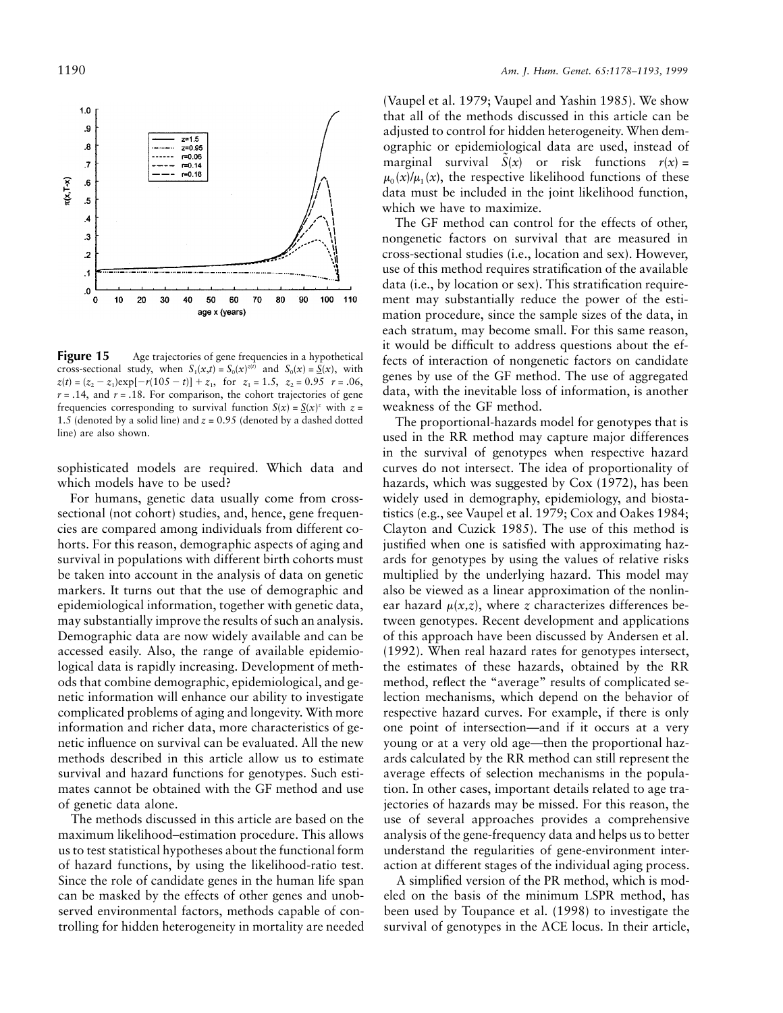

**Figure 15** Age trajectories of gene frequencies in a hypothetical cross-sectional study, when  $S_1(x,t) = S_0(x)^{z(t)}$  and  $S_0(x) = S(x)$ , with  $z(t) = (z_2 - z_1) \exp[-r(105 - t)] + z_1$ , for  $z_1 = 1.5$ ,  $z_2 = 0.95$   $r = .06$ ,  $r = .14$ , and  $r = .18$ . For comparison, the cohort trajectories of gene frequencies corresponding to survival function  $S(x) = S(x)^{z}$  with  $z =$ 1.5 (denoted by a solid line) and  $z = 0.95$  (denoted by a dashed dotted line) are also shown.

sophisticated models are required. Which data and which models have to be used?

For humans, genetic data usually come from crosssectional (not cohort) studies, and, hence, gene frequencies are compared among individuals from different cohorts. For this reason, demographic aspects of aging and survival in populations with different birth cohorts must be taken into account in the analysis of data on genetic markers. It turns out that the use of demographic and epidemiological information, together with genetic data, may substantially improve the results of such an analysis. Demographic data are now widely available and can be accessed easily. Also, the range of available epidemiological data is rapidly increasing. Development of methods that combine demographic, epidemiological, and genetic information will enhance our ability to investigate complicated problems of aging and longevity. With more information and richer data, more characteristics of genetic influence on survival can be evaluated. All the new methods described in this article allow us to estimate survival and hazard functions for genotypes. Such estimates cannot be obtained with the GF method and use of genetic data alone.

The methods discussed in this article are based on the maximum likelihood–estimation procedure. This allows us to test statistical hypotheses about the functional form of hazard functions, by using the likelihood-ratio test. Since the role of candidate genes in the human life span can be masked by the effects of other genes and unobserved environmental factors, methods capable of controlling for hidden heterogeneity in mortality are needed

(Vaupel et al. 1979; Vaupel and Yashin 1985). We show that all of the methods discussed in this article can be adjusted to control for hidden heterogeneity. When demographic or epidemiological data are used, instead of marginal survival  $\tilde{S}(x)$  or risk functions  $r(x) =$  $\mu_0(x)/\mu_1(x)$ , the respective likelihood functions of these data must be included in the joint likelihood function, which we have to maximize.

The GF method can control for the effects of other, nongenetic factors on survival that are measured in cross-sectional studies (i.e., location and sex). However, use of this method requires stratification of the available data (i.e., by location or sex). This stratification requirement may substantially reduce the power of the estimation procedure, since the sample sizes of the data, in each stratum, may become small. For this same reason, it would be difficult to address questions about the effects of interaction of nongenetic factors on candidate genes by use of the GF method. The use of aggregated data, with the inevitable loss of information, is another weakness of the GF method.

The proportional-hazards model for genotypes that is used in the RR method may capture major differences in the survival of genotypes when respective hazard curves do not intersect. The idea of proportionality of hazards, which was suggested by Cox (1972), has been widely used in demography, epidemiology, and biostatistics (e.g., see Vaupel et al. 1979; Cox and Oakes 1984; Clayton and Cuzick 1985). The use of this method is justified when one is satisfied with approximating hazards for genotypes by using the values of relative risks multiplied by the underlying hazard. This model may also be viewed as a linear approximation of the nonlinear hazard  $\mu(x,z)$ , where *z* characterizes differences between genotypes. Recent development and applications of this approach have been discussed by Andersen et al. (1992). When real hazard rates for genotypes intersect, the estimates of these hazards, obtained by the RR method, reflect the "average" results of complicated selection mechanisms, which depend on the behavior of respective hazard curves. For example, if there is only one point of intersection—and if it occurs at a very young or at a very old age—then the proportional hazards calculated by the RR method can still represent the average effects of selection mechanisms in the population. In other cases, important details related to age trajectories of hazards may be missed. For this reason, the use of several approaches provides a comprehensive analysis of the gene-frequency data and helps us to better understand the regularities of gene-environment interaction at different stages of the individual aging process.

A simplified version of the PR method, which is modeled on the basis of the minimum LSPR method, has been used by Toupance et al. (1998) to investigate the survival of genotypes in the ACE locus. In their article,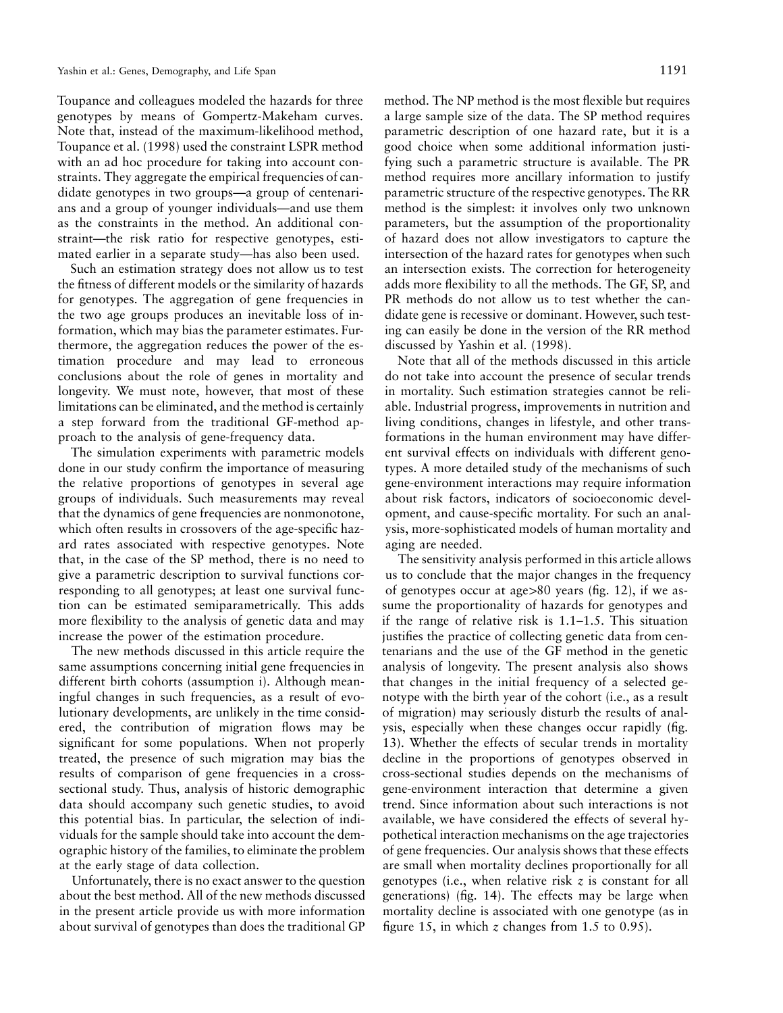Toupance and colleagues modeled the hazards for three genotypes by means of Gompertz-Makeham curves. Note that, instead of the maximum-likelihood method, Toupance et al. (1998) used the constraint LSPR method with an ad hoc procedure for taking into account constraints. They aggregate the empirical frequencies of candidate genotypes in two groups—a group of centenarians and a group of younger individuals—and use them as the constraints in the method. An additional constraint—the risk ratio for respective genotypes, estimated earlier in a separate study—has also been used.

Such an estimation strategy does not allow us to test the fitness of different models or the similarity of hazards for genotypes. The aggregation of gene frequencies in the two age groups produces an inevitable loss of information, which may bias the parameter estimates. Furthermore, the aggregation reduces the power of the estimation procedure and may lead to erroneous conclusions about the role of genes in mortality and longevity. We must note, however, that most of these limitations can be eliminated, and the method is certainly a step forward from the traditional GF-method approach to the analysis of gene-frequency data.

The simulation experiments with parametric models done in our study confirm the importance of measuring the relative proportions of genotypes in several age groups of individuals. Such measurements may reveal that the dynamics of gene frequencies are nonmonotone, which often results in crossovers of the age-specific hazard rates associated with respective genotypes. Note that, in the case of the SP method, there is no need to give a parametric description to survival functions corresponding to all genotypes; at least one survival function can be estimated semiparametrically. This adds more flexibility to the analysis of genetic data and may increase the power of the estimation procedure.

The new methods discussed in this article require the same assumptions concerning initial gene frequencies in different birth cohorts (assumption i). Although meaningful changes in such frequencies, as a result of evolutionary developments, are unlikely in the time considered, the contribution of migration flows may be significant for some populations. When not properly treated, the presence of such migration may bias the results of comparison of gene frequencies in a crosssectional study. Thus, analysis of historic demographic data should accompany such genetic studies, to avoid this potential bias. In particular, the selection of individuals for the sample should take into account the demographic history of the families, to eliminate the problem at the early stage of data collection.

Unfortunately, there is no exact answer to the question about the best method. All of the new methods discussed in the present article provide us with more information about survival of genotypes than does the traditional GP method. The NP method is the most flexible but requires a large sample size of the data. The SP method requires parametric description of one hazard rate, but it is a good choice when some additional information justifying such a parametric structure is available. The PR method requires more ancillary information to justify parametric structure of the respective genotypes. The RR method is the simplest: it involves only two unknown parameters, but the assumption of the proportionality of hazard does not allow investigators to capture the intersection of the hazard rates for genotypes when such an intersection exists. The correction for heterogeneity adds more flexibility to all the methods. The GF, SP, and PR methods do not allow us to test whether the candidate gene is recessive or dominant. However, such testing can easily be done in the version of the RR method discussed by Yashin et al. (1998).

Note that all of the methods discussed in this article do not take into account the presence of secular trends in mortality. Such estimation strategies cannot be reliable. Industrial progress, improvements in nutrition and living conditions, changes in lifestyle, and other transformations in the human environment may have different survival effects on individuals with different genotypes. A more detailed study of the mechanisms of such gene-environment interactions may require information about risk factors, indicators of socioeconomic development, and cause-specific mortality. For such an analysis, more-sophisticated models of human mortality and aging are needed.

The sensitivity analysis performed in this article allows us to conclude that the major changes in the frequency of genotypes occur at age $>80$  years (fig. 12), if we assume the proportionality of hazards for genotypes and if the range of relative risk is 1.1–1.5. This situation justifies the practice of collecting genetic data from centenarians and the use of the GF method in the genetic analysis of longevity. The present analysis also shows that changes in the initial frequency of a selected genotype with the birth year of the cohort (i.e., as a result of migration) may seriously disturb the results of analysis, especially when these changes occur rapidly (fig. 13). Whether the effects of secular trends in mortality decline in the proportions of genotypes observed in cross-sectional studies depends on the mechanisms of gene-environment interaction that determine a given trend. Since information about such interactions is not available, we have considered the effects of several hypothetical interaction mechanisms on the age trajectories of gene frequencies. Our analysis shows that these effects are small when mortality declines proportionally for all genotypes (i.e., when relative risk *z* is constant for all generations) (fig. 14). The effects may be large when mortality decline is associated with one genotype (as in figure 15, in which  $z$  changes from 1.5 to 0.95).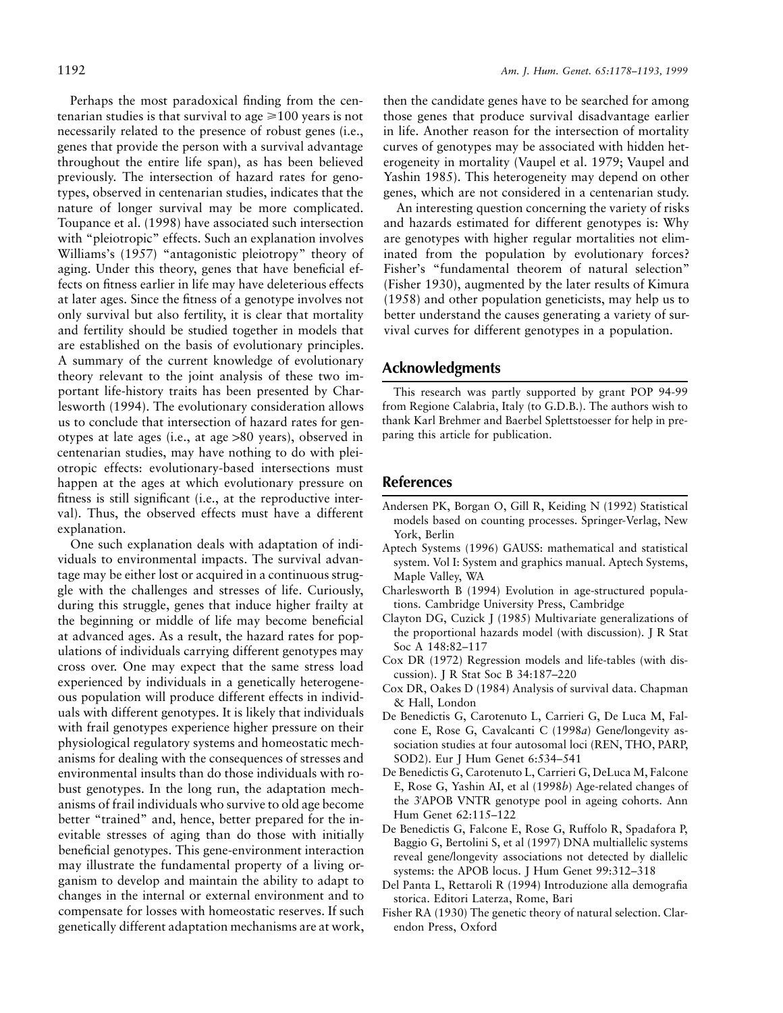Perhaps the most paradoxical finding from the centenarian studies is that survival to age  $\geq 100$  years is not necessarily related to the presence of robust genes (i.e., genes that provide the person with a survival advantage throughout the entire life span), as has been believed previously. The intersection of hazard rates for genotypes, observed in centenarian studies, indicates that the nature of longer survival may be more complicated. Toupance et al. (1998) have associated such intersection with "pleiotropic" effects. Such an explanation involves Williams's (1957) "antagonistic pleiotropy" theory of aging. Under this theory, genes that have beneficial effects on fitness earlier in life may have deleterious effects at later ages. Since the fitness of a genotype involves not only survival but also fertility, it is clear that mortality and fertility should be studied together in models that are established on the basis of evolutionary principles. A summary of the current knowledge of evolutionary theory relevant to the joint analysis of these two important life-history traits has been presented by Charlesworth (1994). The evolutionary consideration allows us to conclude that intersection of hazard rates for genotypes at late ages (i.e., at age 180 years), observed in centenarian studies, may have nothing to do with pleiotropic effects: evolutionary-based intersections must happen at the ages at which evolutionary pressure on fitness is still significant (i.e., at the reproductive interval). Thus, the observed effects must have a different explanation.

One such explanation deals with adaptation of individuals to environmental impacts. The survival advantage may be either lost or acquired in a continuous struggle with the challenges and stresses of life. Curiously, during this struggle, genes that induce higher frailty at the beginning or middle of life may become beneficial at advanced ages. As a result, the hazard rates for populations of individuals carrying different genotypes may cross over. One may expect that the same stress load experienced by individuals in a genetically heterogeneous population will produce different effects in individuals with different genotypes. It is likely that individuals with frail genotypes experience higher pressure on their physiological regulatory systems and homeostatic mechanisms for dealing with the consequences of stresses and environmental insults than do those individuals with robust genotypes. In the long run, the adaptation mechanisms of frail individuals who survive to old age become better "trained" and, hence, better prepared for the inevitable stresses of aging than do those with initially beneficial genotypes. This gene-environment interaction may illustrate the fundamental property of a living organism to develop and maintain the ability to adapt to changes in the internal or external environment and to compensate for losses with homeostatic reserves. If such genetically different adaptation mechanisms are at work, then the candidate genes have to be searched for among those genes that produce survival disadvantage earlier in life. Another reason for the intersection of mortality curves of genotypes may be associated with hidden heterogeneity in mortality (Vaupel et al. 1979; Vaupel and Yashin 1985). This heterogeneity may depend on other genes, which are not considered in a centenarian study.

An interesting question concerning the variety of risks and hazards estimated for different genotypes is: Why are genotypes with higher regular mortalities not eliminated from the population by evolutionary forces? Fisher's "fundamental theorem of natural selection" (Fisher 1930), augmented by the later results of Kimura (1958) and other population geneticists, may help us to better understand the causes generating a variety of survival curves for different genotypes in a population.

# **Acknowledgments**

This research was partly supported by grant POP 94-99 from Regione Calabria, Italy (to G.D.B.). The authors wish to thank Karl Brehmer and Baerbel Splettstoesser for help in preparing this article for publication.

# **References**

- Andersen PK, Borgan O, Gill R, Keiding N (1992) Statistical models based on counting processes. Springer-Verlag, New York, Berlin
- Aptech Systems (1996) GAUSS: mathematical and statistical system. Vol I: System and graphics manual. Aptech Systems, Maple Valley, WA
- Charlesworth B (1994) Evolution in age-structured populations. Cambridge University Press, Cambridge
- Clayton DG, Cuzick J (1985) Multivariate generalizations of the proportional hazards model (with discussion). J R Stat Soc A 148:82–117
- Cox DR (1972) Regression models and life-tables (with discussion). J R Stat Soc B 34:187–220
- Cox DR, Oakes D (1984) Analysis of survival data. Chapman & Hall, London
- De Benedictis G, Carotenuto L, Carrieri G, De Luca M, Falcone E, Rose G, Cavalcanti C (1998*a*) Gene/longevity association studies at four autosomal loci (REN, THO, PARP, SOD2). Eur J Hum Genet 6:534–541
- De Benedictis G, Carotenuto L, Carrieri G, DeLuca M, Falcone E, Rose G, Yashin AI, et al (1998*b*) Age-related changes of the 3'APOB VNTR genotype pool in ageing cohorts. Ann Hum Genet 62:115–122
- De Benedictis G, Falcone E, Rose G, Ruffolo R, Spadafora P, Baggio G, Bertolini S, et al (1997) DNA multiallelic systems reveal gene/longevity associations not detected by diallelic systems: the APOB locus. J Hum Genet 99:312-318
- Del Panta L, Rettaroli R (1994) Introduzione alla demografia storica. Editori Laterza, Rome, Bari
- Fisher RA (1930) The genetic theory of natural selection. Clarendon Press, Oxford